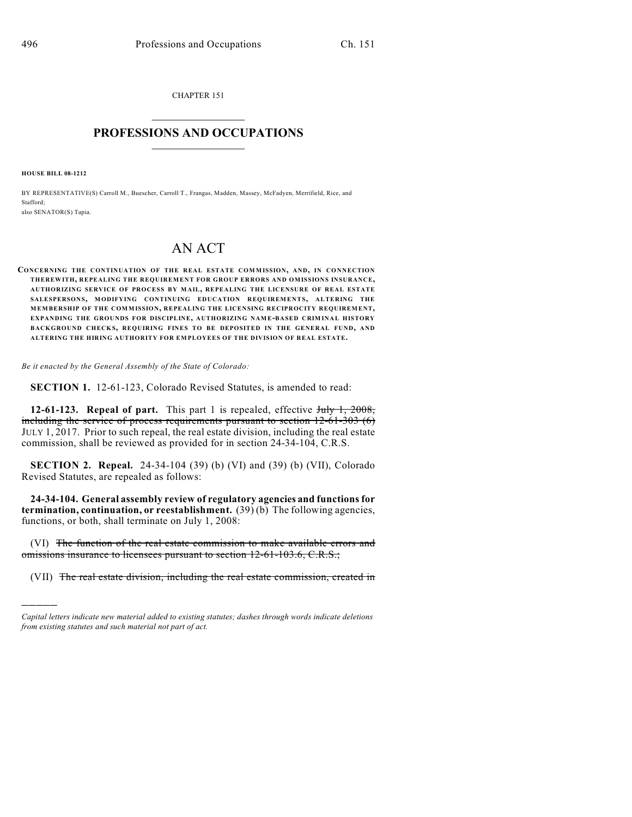CHAPTER 151  $\mathcal{L}_\text{max}$  . The set of the set of the set of the set of the set of the set of the set of the set of the set of the set of the set of the set of the set of the set of the set of the set of the set of the set of the set

## **PROFESSIONS AND OCCUPATIONS**  $\frac{1}{2}$  ,  $\frac{1}{2}$  ,  $\frac{1}{2}$  ,  $\frac{1}{2}$  ,  $\frac{1}{2}$  ,  $\frac{1}{2}$

**HOUSE BILL 08-1212**

)))))

BY REPRESENTATIVE(S) Carroll M., Buescher, Carroll T., Frangas, Madden, Massey, McFadyen, Merrifield, Rice, and Stafford; also SENATOR(S) Tapia.

## AN ACT

**CONCERNING THE CONTINUATION OF THE REAL ESTATE COMMISSION, AND, IN CONNECTION THEREWITH, REPEALING THE REQUIREMENT FOR GROUP ERRORS AND OMISSIONS INSURANCE, AUTHORIZING SERVICE OF PROCESS BY MAIL, REPEALING THE LICENSURE OF REAL ESTATE SALESPERSONS, MODIFYING CONTINUING EDUCATION REQUIREMENTS, ALTERING THE MEMBERSHIP OF THE COMMISSION, REPEALING THE LICENSING RECIPROCITY REQUIREMENT, EXPANDING THE GROUNDS FOR DISCIPLINE, AUTHORIZING NAM E-BASED CRIM INAL HISTORY BACK GROUND CHECK S, REQUIRING FINES TO BE DEPOSITED IN THE GENERAL FUND, AND ALTERING THE HIRING AUTHORITY FOR EMPLOYEES OF THE DIVISION OF REAL ESTATE.**

*Be it enacted by the General Assembly of the State of Colorado:*

**SECTION 1.** 12-61-123, Colorado Revised Statutes, is amended to read:

**12-61-123. Repeal of part.** This part 1 is repealed, effective July 1, 2008, including the service of process requirements pursuant to section 12-61-303 (6) JULY 1, 2017. Prior to such repeal, the real estate division, including the real estate commission, shall be reviewed as provided for in section 24-34-104, C.R.S.

**SECTION 2. Repeal.** 24-34-104 (39) (b) (VI) and (39) (b) (VII), Colorado Revised Statutes, are repealed as follows:

**24-34-104. General assembly review of regulatory agencies and functions for termination, continuation, or reestablishment.** (39) (b) The following agencies, functions, or both, shall terminate on July 1, 2008:

(VI) The function of the real estate commission to make available errors and omissions insurance to licensees pursuant to section 12-61-103.6, C.R.S.;

(VII) The real estate division, including the real estate commission, created in

*Capital letters indicate new material added to existing statutes; dashes through words indicate deletions from existing statutes and such material not part of act.*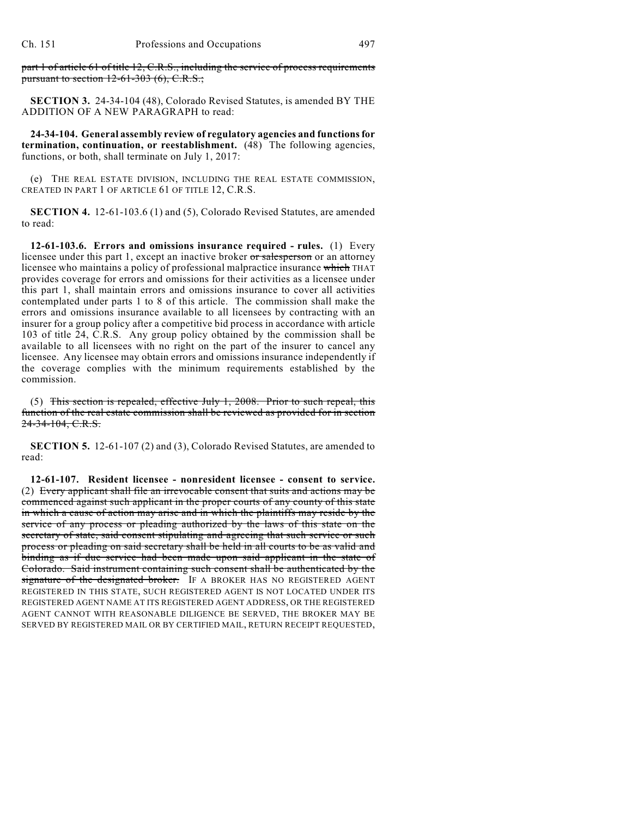part 1 of article 61 of title 12, C.R.S., including the service of process requirements pursuant to section  $12-61-303$  (6), C.R.S.;

**SECTION 3.** 24-34-104 (48), Colorado Revised Statutes, is amended BY THE ADDITION OF A NEW PARAGRAPH to read:

**24-34-104. General assembly review of regulatory agencies and functions for termination, continuation, or reestablishment.** (48) The following agencies, functions, or both, shall terminate on July 1, 2017:

(e) THE REAL ESTATE DIVISION, INCLUDING THE REAL ESTATE COMMISSION, CREATED IN PART 1 OF ARTICLE 61 OF TITLE 12, C.R.S.

**SECTION 4.** 12-61-103.6 (1) and (5), Colorado Revised Statutes, are amended to read:

**12-61-103.6. Errors and omissions insurance required - rules.** (1) Every licensee under this part 1, except an inactive broker or salesperson or an attorney licensee who maintains a policy of professional malpractice insurance which THAT provides coverage for errors and omissions for their activities as a licensee under this part 1, shall maintain errors and omissions insurance to cover all activities contemplated under parts 1 to 8 of this article. The commission shall make the errors and omissions insurance available to all licensees by contracting with an insurer for a group policy after a competitive bid process in accordance with article 103 of title 24, C.R.S. Any group policy obtained by the commission shall be available to all licensees with no right on the part of the insurer to cancel any licensee. Any licensee may obtain errors and omissions insurance independently if the coverage complies with the minimum requirements established by the commission.

(5) This section is repealed, effective July 1, 2008. Prior to such repeal, this function of the real estate commission shall be reviewed as provided for in section 24-34-104, C.R.S.

**SECTION 5.** 12-61-107 (2) and (3), Colorado Revised Statutes, are amended to read:

**12-61-107. Resident licensee - nonresident licensee - consent to service.** (2) Every applicant shall file an irrevocable consent that suits and actions may be commenced against such applicant in the proper courts of any county of this state in which a cause of action may arise and in which the plaintiffs may reside by the service of any process or pleading authorized by the laws of this state on the secretary of state, said consent stipulating and agreeing that such service or such process or pleading on said secretary shall be held in all courts to be as valid and binding as if due service had been made upon said applicant in the state of Colorado. Said instrument containing such consent shall be authenticated by the signature of the designated broker. IF A BROKER HAS NO REGISTERED AGENT REGISTERED IN THIS STATE, SUCH REGISTERED AGENT IS NOT LOCATED UNDER ITS REGISTERED AGENT NAME AT ITS REGISTERED AGENT ADDRESS, OR THE REGISTERED AGENT CANNOT WITH REASONABLE DILIGENCE BE SERVED, THE BROKER MAY BE SERVED BY REGISTERED MAIL OR BY CERTIFIED MAIL, RETURN RECEIPT REQUESTED,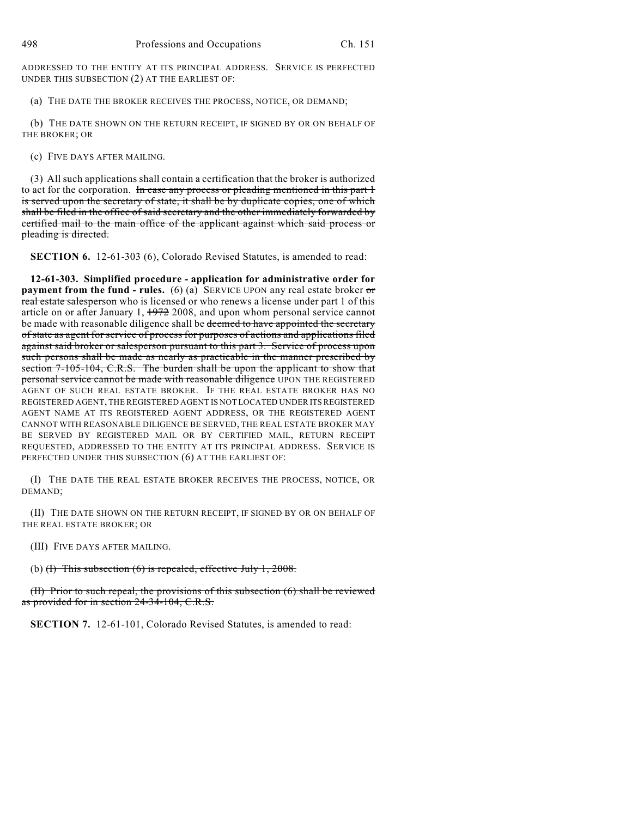ADDRESSED TO THE ENTITY AT ITS PRINCIPAL ADDRESS. SERVICE IS PERFECTED UNDER THIS SUBSECTION (2) AT THE EARLIEST OF:

(a) THE DATE THE BROKER RECEIVES THE PROCESS, NOTICE, OR DEMAND;

(b) THE DATE SHOWN ON THE RETURN RECEIPT, IF SIGNED BY OR ON BEHALF OF THE BROKER; OR

(c) FIVE DAYS AFTER MAILING.

(3) All such applications shall contain a certification that the broker is authorized to act for the corporation. In case any process or pleading mentioned in this part 1 is served upon the secretary of state, it shall be by duplicate copies, one of which shall be filed in the office of said secretary and the other immediately forwarded by certified mail to the main office of the applicant against which said process or pleading is directed.

**SECTION 6.** 12-61-303 (6), Colorado Revised Statutes, is amended to read:

**12-61-303. Simplified procedure - application for administrative order for payment from the fund - rules.** (6) (a) SERVICE UPON any real estate broker or real estate salesperson who is licensed or who renews a license under part 1 of this article on or after January 1, 1972 2008, and upon whom personal service cannot be made with reasonable diligence shall be deemed to have appointed the secretary of state as agent for service of process for purposes of actions and applications filed against said broker or salesperson pursuant to this part 3. Service of process upon such persons shall be made as nearly as practicable in the manner prescribed by section 7-105-104, C.R.S. The burden shall be upon the applicant to show that personal service cannot be made with reasonable diligence UPON THE REGISTERED AGENT OF SUCH REAL ESTATE BROKER. IF THE REAL ESTATE BROKER HAS NO REGISTERED AGENT, THE REGISTERED AGENT IS NOT LOCATED UNDER ITS REGISTERED AGENT NAME AT ITS REGISTERED AGENT ADDRESS, OR THE REGISTERED AGENT CANNOT WITH REASONABLE DILIGENCE BE SERVED, THE REAL ESTATE BROKER MAY BE SERVED BY REGISTERED MAIL OR BY CERTIFIED MAIL, RETURN RECEIPT REQUESTED, ADDRESSED TO THE ENTITY AT ITS PRINCIPAL ADDRESS. SERVICE IS PERFECTED UNDER THIS SUBSECTION (6) AT THE EARLIEST OF:

(I) THE DATE THE REAL ESTATE BROKER RECEIVES THE PROCESS, NOTICE, OR DEMAND;

(II) THE DATE SHOWN ON THE RETURN RECEIPT, IF SIGNED BY OR ON BEHALF OF THE REAL ESTATE BROKER; OR

(III) FIVE DAYS AFTER MAILING.

(b)  $(H)$  This subsection  $(6)$  is repealed, effective July 1, 2008.

(II) Prior to such repeal, the provisions of this subsection (6) shall be reviewed as provided for in section 24-34-104, C.R.S.

**SECTION 7.** 12-61-101, Colorado Revised Statutes, is amended to read: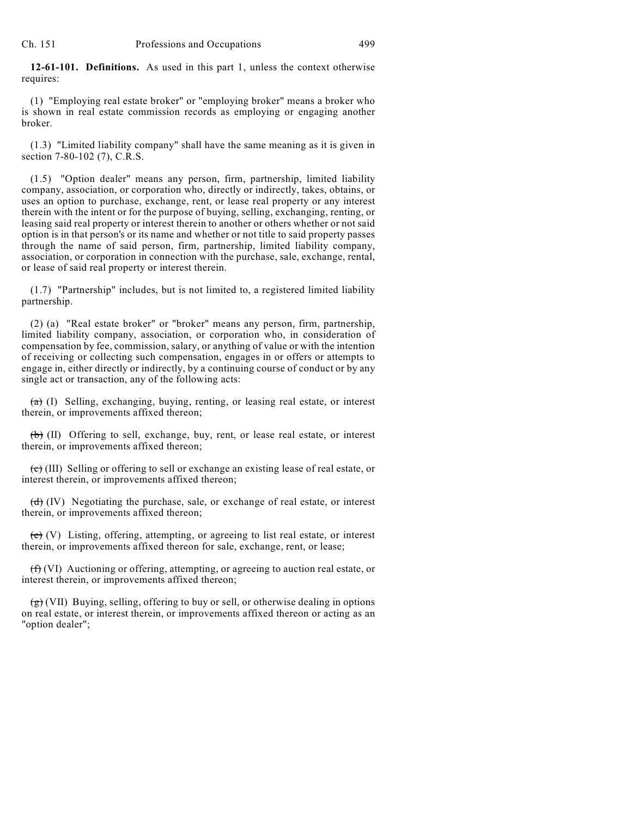**12-61-101. Definitions.** As used in this part 1, unless the context otherwise requires:

(1) "Employing real estate broker" or "employing broker" means a broker who is shown in real estate commission records as employing or engaging another broker.

(1.3) "Limited liability company" shall have the same meaning as it is given in section 7-80-102 (7), C.R.S.

(1.5) "Option dealer" means any person, firm, partnership, limited liability company, association, or corporation who, directly or indirectly, takes, obtains, or uses an option to purchase, exchange, rent, or lease real property or any interest therein with the intent or for the purpose of buying, selling, exchanging, renting, or leasing said real property or interest therein to another or others whether or not said option is in that person's or its name and whether or not title to said property passes through the name of said person, firm, partnership, limited liability company, association, or corporation in connection with the purchase, sale, exchange, rental, or lease of said real property or interest therein.

(1.7) "Partnership" includes, but is not limited to, a registered limited liability partnership.

(2) (a) "Real estate broker" or "broker" means any person, firm, partnership, limited liability company, association, or corporation who, in consideration of compensation by fee, commission, salary, or anything of value or with the intention of receiving or collecting such compensation, engages in or offers or attempts to engage in, either directly or indirectly, by a continuing course of conduct or by any single act or transaction, any of the following acts:

 $(a)$  (I) Selling, exchanging, buying, renting, or leasing real estate, or interest therein, or improvements affixed thereon;

 $(\rightarrow)$  (II) Offering to sell, exchange, buy, rent, or lease real estate, or interest therein, or improvements affixed thereon;

 $\overline{(c)}$  (III) Selling or offering to sell or exchange an existing lease of real estate, or interest therein, or improvements affixed thereon;

 $(d)$  (IV) Negotiating the purchase, sale, or exchange of real estate, or interest therein, or improvements affixed thereon;

 $(e)$  (V) Listing, offering, attempting, or agreeing to list real estate, or interest therein, or improvements affixed thereon for sale, exchange, rent, or lease;

 $(f)$  (VI) Auctioning or offering, attempting, or agreeing to auction real estate, or interest therein, or improvements affixed thereon;

 $\left(\frac{g}{g}\right)$  (VII) Buying, selling, offering to buy or sell, or otherwise dealing in options on real estate, or interest therein, or improvements affixed thereon or acting as an "option dealer";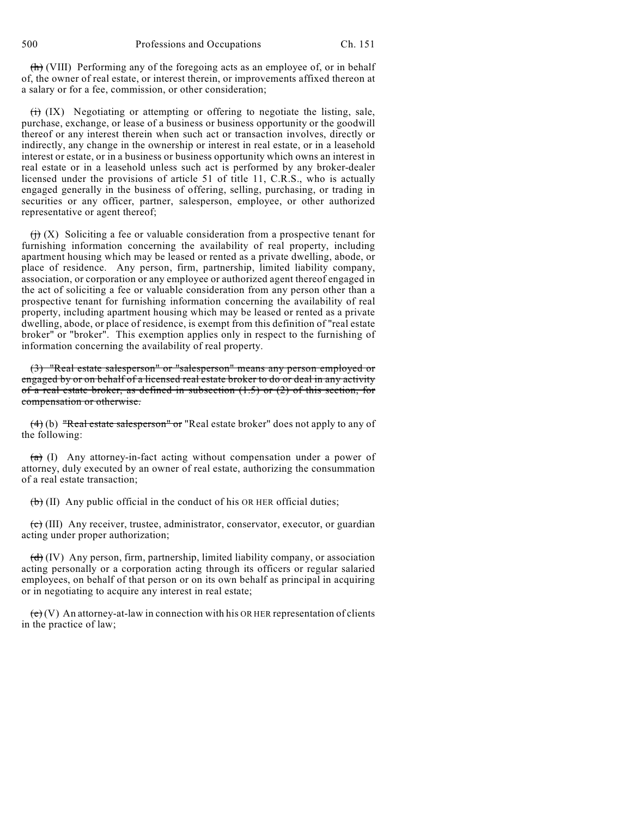$\left(\frac{h}{h}\right)$  (VIII) Performing any of the foregoing acts as an employee of, or in behalf of, the owner of real estate, or interest therein, or improvements affixed thereon at a salary or for a fee, commission, or other consideration;

 $(H)$  (IX) Negotiating or attempting or offering to negotiate the listing, sale, purchase, exchange, or lease of a business or business opportunity or the goodwill thereof or any interest therein when such act or transaction involves, directly or indirectly, any change in the ownership or interest in real estate, or in a leasehold interest or estate, or in a business or business opportunity which owns an interest in real estate or in a leasehold unless such act is performed by any broker-dealer licensed under the provisions of article 51 of title 11, C.R.S., who is actually engaged generally in the business of offering, selling, purchasing, or trading in securities or any officer, partner, salesperson, employee, or other authorized representative or agent thereof;

 $\overleftrightarrow{H}$  (X) Soliciting a fee or valuable consideration from a prospective tenant for furnishing information concerning the availability of real property, including apartment housing which may be leased or rented as a private dwelling, abode, or place of residence. Any person, firm, partnership, limited liability company, association, or corporation or any employee or authorized agent thereof engaged in the act of soliciting a fee or valuable consideration from any person other than a prospective tenant for furnishing information concerning the availability of real property, including apartment housing which may be leased or rented as a private dwelling, abode, or place of residence, is exempt from this definition of "real estate broker" or "broker". This exemption applies only in respect to the furnishing of information concerning the availability of real property.

(3) "Real estate salesperson" or "salesperson" means any person employed or engaged by or on behalf of a licensed real estate broker to do or deal in any activity of a real estate broker, as defined in subsection  $(1.5)$  or  $(2)$  of this section, for compensation or otherwise.

 $(4)$  (b) "Real estate salesperson" or "Real estate broker" does not apply to any of the following:

 $(a)$  (I) Any attorney-in-fact acting without compensation under a power of attorney, duly executed by an owner of real estate, authorizing the consummation of a real estate transaction;

 $\left(\frac{1}{b}\right)$  (II) Any public official in the conduct of his OR HER official duties;

 $\overline{(c)}$  (III) Any receiver, trustee, administrator, conservator, executor, or guardian acting under proper authorization;

 $(d)$  (IV) Any person, firm, partnership, limited liability company, or association acting personally or a corporation acting through its officers or regular salaried employees, on behalf of that person or on its own behalf as principal in acquiring or in negotiating to acquire any interest in real estate;

 $(e)(V)$  An attorney-at-law in connection with his OR HER representation of clients in the practice of law;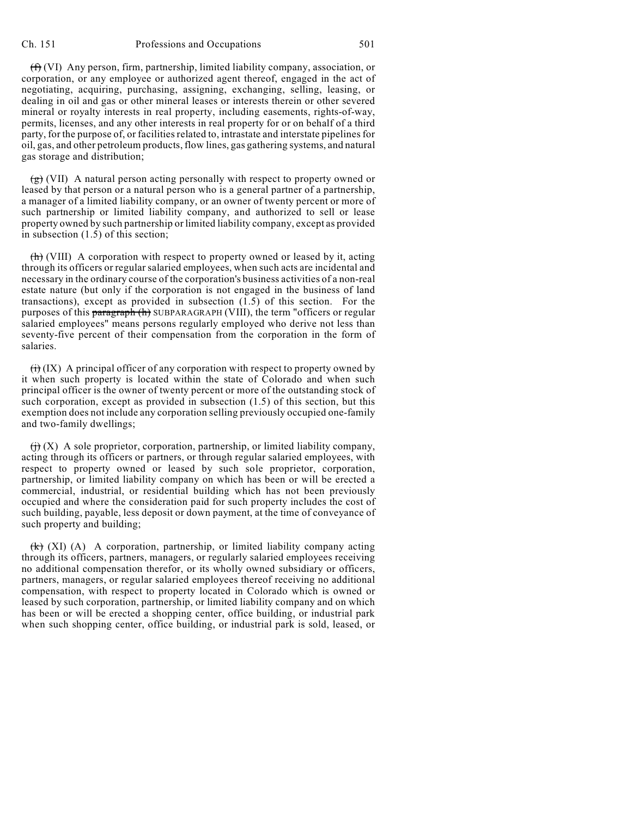(f) (VI) Any person, firm, partnership, limited liability company, association, or corporation, or any employee or authorized agent thereof, engaged in the act of negotiating, acquiring, purchasing, assigning, exchanging, selling, leasing, or dealing in oil and gas or other mineral leases or interests therein or other severed mineral or royalty interests in real property, including easements, rights-of-way, permits, licenses, and any other interests in real property for or on behalf of a third party, for the purpose of, or facilities related to, intrastate and interstate pipelines for oil, gas, and other petroleum products, flow lines, gas gathering systems, and natural gas storage and distribution;

 $\left(\frac{g}{g}\right)$  (VII) A natural person acting personally with respect to property owned or leased by that person or a natural person who is a general partner of a partnership, a manager of a limited liability company, or an owner of twenty percent or more of such partnership or limited liability company, and authorized to sell or lease property owned by such partnership or limited liability company, except as provided in subsection (1.5) of this section;

 $\langle h \rangle$  (VIII) A corporation with respect to property owned or leased by it, acting through its officers or regular salaried employees, when such acts are incidental and necessary in the ordinary course of the corporation's business activities of a non-real estate nature (but only if the corporation is not engaged in the business of land transactions), except as provided in subsection (1.5) of this section. For the purposes of this paragraph (h) SUBPARAGRAPH (VIII), the term "officers or regular salaried employees" means persons regularly employed who derive not less than seventy-five percent of their compensation from the corporation in the form of salaries.

 $\overleftrightarrow{(ii)}$  (IX) A principal officer of any corporation with respect to property owned by it when such property is located within the state of Colorado and when such principal officer is the owner of twenty percent or more of the outstanding stock of such corporation, except as provided in subsection (1.5) of this section, but this exemption does not include any corporation selling previously occupied one-family and two-family dwellings;

 $\overleftrightarrow{H}$  (X) A sole proprietor, corporation, partnership, or limited liability company, acting through its officers or partners, or through regular salaried employees, with respect to property owned or leased by such sole proprietor, corporation, partnership, or limited liability company on which has been or will be erected a commercial, industrial, or residential building which has not been previously occupied and where the consideration paid for such property includes the cost of such building, payable, less deposit or down payment, at the time of conveyance of such property and building;

 $(k)$  (XI) (A) A corporation, partnership, or limited liability company acting through its officers, partners, managers, or regularly salaried employees receiving no additional compensation therefor, or its wholly owned subsidiary or officers, partners, managers, or regular salaried employees thereof receiving no additional compensation, with respect to property located in Colorado which is owned or leased by such corporation, partnership, or limited liability company and on which has been or will be erected a shopping center, office building, or industrial park when such shopping center, office building, or industrial park is sold, leased, or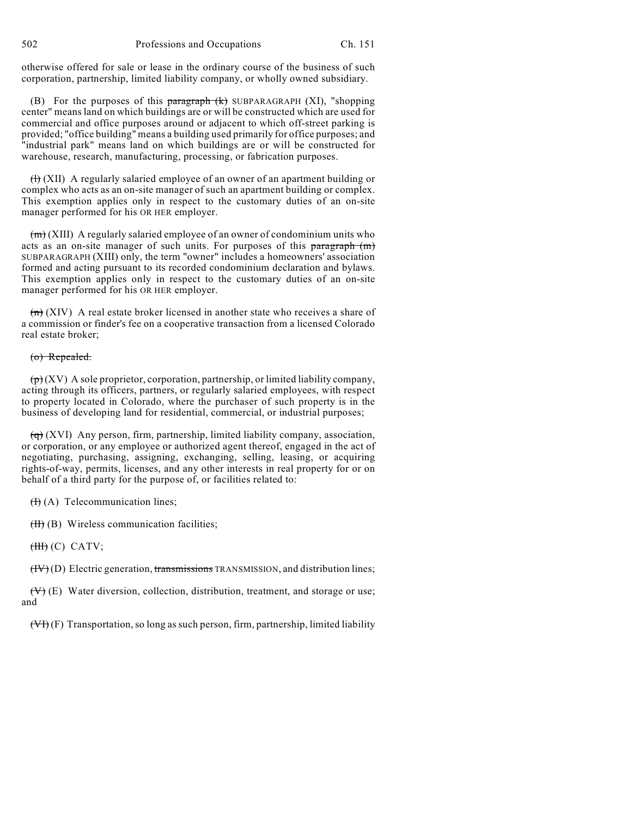otherwise offered for sale or lease in the ordinary course of the business of such corporation, partnership, limited liability company, or wholly owned subsidiary.

(B) For the purposes of this  $\frac{1}{2}$  paragraph (k) SUBPARAGRAPH (XI), "shopping center" means land on which buildings are or will be constructed which are used for commercial and office purposes around or adjacent to which off-street parking is provided; "office building" means a building used primarily for office purposes; and "industrial park" means land on which buildings are or will be constructed for warehouse, research, manufacturing, processing, or fabrication purposes.

 $(H)$  (XII) A regularly salaried employee of an owner of an apartment building or complex who acts as an on-site manager of such an apartment building or complex. This exemption applies only in respect to the customary duties of an on-site manager performed for his OR HER employer.

 $(m)$  (XIII) A regularly salaried employee of an owner of condominium units who acts as an on-site manager of such units. For purposes of this paragraph (m) SUBPARAGRAPH (XIII) only, the term "owner" includes a homeowners' association formed and acting pursuant to its recorded condominium declaration and bylaws. This exemption applies only in respect to the customary duties of an on-site manager performed for his OR HER employer.

 $\left( \frac{m}{n} \right)$  (XIV) A real estate broker licensed in another state who receives a share of a commission or finder's fee on a cooperative transaction from a licensed Colorado real estate broker;

## (o) Repealed.

 $\left(\mathbf{p}\right)(\mathrm{X}\mathrm{V})$  A sole proprietor, corporation, partnership, or limited liability company, acting through its officers, partners, or regularly salaried employees, with respect to property located in Colorado, where the purchaser of such property is in the business of developing land for residential, commercial, or industrial purposes;

 $\overline{(q)}$  (XVI) Any person, firm, partnership, limited liability company, association, or corporation, or any employee or authorized agent thereof, engaged in the act of negotiating, purchasing, assigning, exchanging, selling, leasing, or acquiring rights-of-way, permits, licenses, and any other interests in real property for or on behalf of a third party for the purpose of, or facilities related to:

 $(H)$  (A) Telecommunication lines;

 $(H)$  (B) Wireless communication facilities;

 $(HH)(C)$  CATV;

 $(HV)(D)$  Electric generation, transmissions TRANSMISSION, and distribution lines;

 $(\forall)$  (E) Water diversion, collection, distribution, treatment, and storage or use; and

(VI) (F) Transportation, so long as such person, firm, partnership, limited liability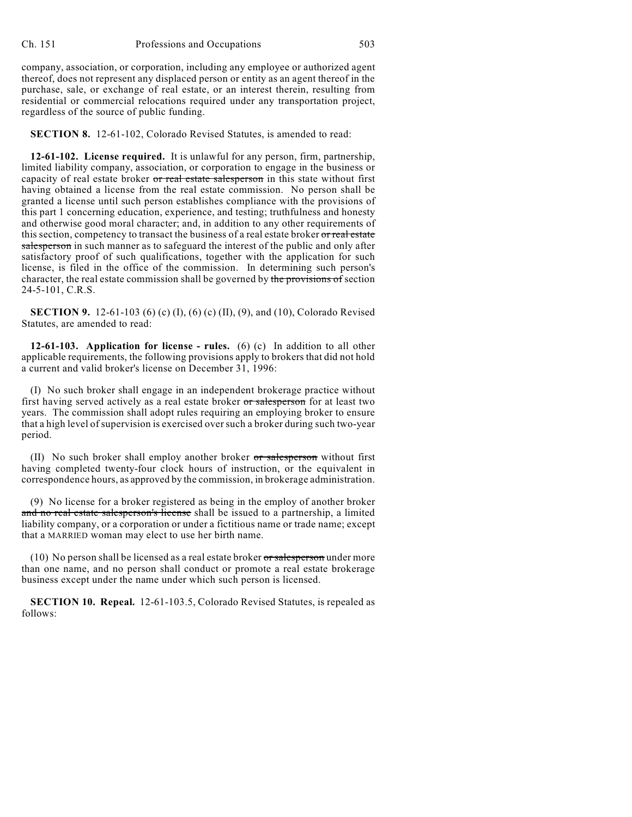company, association, or corporation, including any employee or authorized agent thereof, does not represent any displaced person or entity as an agent thereof in the purchase, sale, or exchange of real estate, or an interest therein, resulting from residential or commercial relocations required under any transportation project, regardless of the source of public funding.

**SECTION 8.** 12-61-102, Colorado Revised Statutes, is amended to read:

**12-61-102. License required.** It is unlawful for any person, firm, partnership, limited liability company, association, or corporation to engage in the business or capacity of real estate broker or real estate salesperson in this state without first having obtained a license from the real estate commission. No person shall be granted a license until such person establishes compliance with the provisions of this part 1 concerning education, experience, and testing; truthfulness and honesty and otherwise good moral character; and, in addition to any other requirements of this section, competency to transact the business of a real estate broker or real estate salesperson in such manner as to safeguard the interest of the public and only after satisfactory proof of such qualifications, together with the application for such license, is filed in the office of the commission. In determining such person's character, the real estate commission shall be governed by the provisions of section 24-5-101, C.R.S.

**SECTION 9.** 12-61-103 (6) (c) (I), (6) (c) (II), (9), and (10), Colorado Revised Statutes, are amended to read:

**12-61-103. Application for license - rules.** (6) (c) In addition to all other applicable requirements, the following provisions apply to brokers that did not hold a current and valid broker's license on December 31, 1996:

(I) No such broker shall engage in an independent brokerage practice without first having served actively as a real estate broker or salesperson for at least two years. The commission shall adopt rules requiring an employing broker to ensure that a high level of supervision is exercised over such a broker during such two-year period.

(II) No such broker shall employ another broker or salesperson without first having completed twenty-four clock hours of instruction, or the equivalent in correspondence hours, as approved by the commission, in brokerage administration.

(9) No license for a broker registered as being in the employ of another broker and no real estate salesperson's license shall be issued to a partnership, a limited liability company, or a corporation or under a fictitious name or trade name; except that a MARRIED woman may elect to use her birth name.

(10) No person shall be licensed as a real estate broker or salesperson under more than one name, and no person shall conduct or promote a real estate brokerage business except under the name under which such person is licensed.

**SECTION 10. Repeal.** 12-61-103.5, Colorado Revised Statutes, is repealed as follows: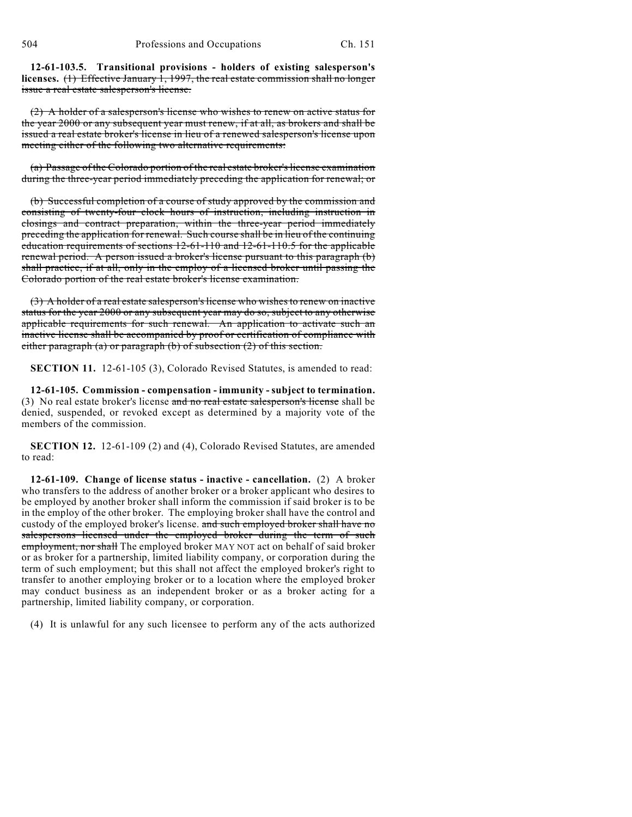**12-61-103.5. Transitional provisions - holders of existing salesperson's licenses.** (1) Effective January 1, 1997, the real estate commission shall no longer issue a real estate salesperson's license.

(2) A holder of a salesperson's license who wishes to renew on active status for the year 2000 or any subsequent year must renew, if at all, as brokers and shall be issued a real estate broker's license in lieu of a renewed salesperson's license upon meeting either of the following two alternative requirements:

(a) Passage of the Colorado portion of the real estate broker's license examination during the three-year period immediately preceding the application for renewal; or

(b) Successful completion of a course of study approved by the commission and consisting of twenty-four clock hours of instruction, including instruction in closings and contract preparation, within the three-year period immediately preceding the application for renewal. Such course shall be in lieu of the continuing education requirements of sections 12-61-110 and 12-61-110.5 for the applicable renewal period. A person issued a broker's license pursuant to this paragraph (b) shall practice, if at all, only in the employ of a licensed broker until passing the Colorado portion of the real estate broker's license examination.

(3) A holder of a real estate salesperson's license who wishes to renew on inactive status for the year 2000 or any subsequent year may do so, subject to any otherwise applicable requirements for such renewal. An application to activate such an inactive license shall be accompanied by proof or certification of compliance with either paragraph (a) or paragraph (b) of subsection (2) of this section.

**SECTION 11.** 12-61-105 (3), Colorado Revised Statutes, is amended to read:

**12-61-105. Commission - compensation - immunity - subject to termination.** (3) No real estate broker's license and no real estate salesperson's license shall be denied, suspended, or revoked except as determined by a majority vote of the members of the commission.

**SECTION 12.** 12-61-109 (2) and (4), Colorado Revised Statutes, are amended to read:

**12-61-109. Change of license status - inactive - cancellation.** (2) A broker who transfers to the address of another broker or a broker applicant who desires to be employed by another broker shall inform the commission if said broker is to be in the employ of the other broker. The employing broker shall have the control and custody of the employed broker's license. and such employed broker shall have no salespersons licensed under the employed broker during the term of such employment, nor shall The employed broker MAY NOT act on behalf of said broker or as broker for a partnership, limited liability company, or corporation during the term of such employment; but this shall not affect the employed broker's right to transfer to another employing broker or to a location where the employed broker may conduct business as an independent broker or as a broker acting for a partnership, limited liability company, or corporation.

(4) It is unlawful for any such licensee to perform any of the acts authorized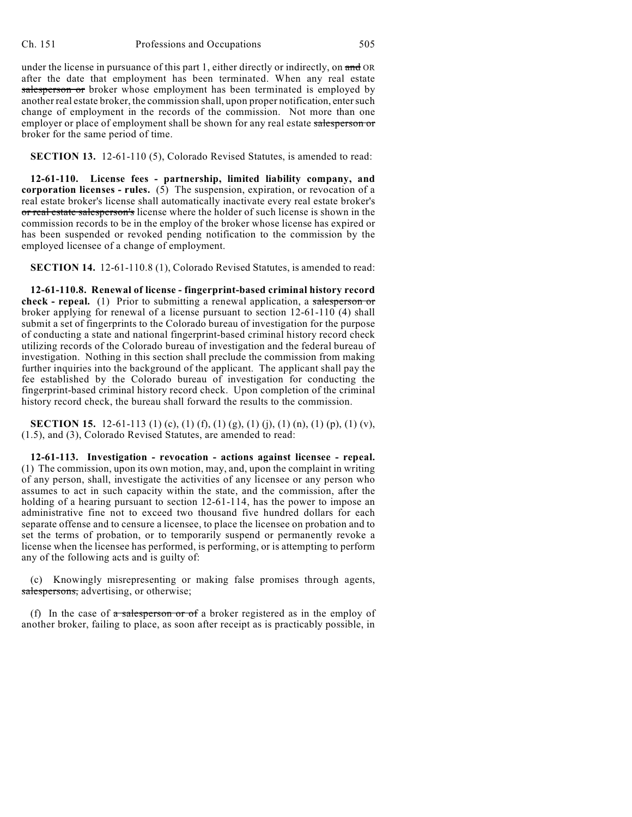under the license in pursuance of this part 1, either directly or indirectly, on and OR after the date that employment has been terminated. When any real estate salesperson or broker whose employment has been terminated is employed by another real estate broker, the commission shall, upon proper notification, enter such change of employment in the records of the commission. Not more than one employer or place of employment shall be shown for any real estate salesperson or broker for the same period of time.

**SECTION 13.** 12-61-110 (5), Colorado Revised Statutes, is amended to read:

**12-61-110. License fees - partnership, limited liability company, and corporation licenses - rules.** (5) The suspension, expiration, or revocation of a real estate broker's license shall automatically inactivate every real estate broker's or real estate salesperson's license where the holder of such license is shown in the commission records to be in the employ of the broker whose license has expired or has been suspended or revoked pending notification to the commission by the employed licensee of a change of employment.

**SECTION 14.** 12-61-110.8 (1), Colorado Revised Statutes, is amended to read:

**12-61-110.8. Renewal of license - fingerprint-based criminal history record check - repeal.** (1) Prior to submitting a renewal application, a salesperson or broker applying for renewal of a license pursuant to section 12-61-110 (4) shall submit a set of fingerprints to the Colorado bureau of investigation for the purpose of conducting a state and national fingerprint-based criminal history record check utilizing records of the Colorado bureau of investigation and the federal bureau of investigation. Nothing in this section shall preclude the commission from making further inquiries into the background of the applicant. The applicant shall pay the fee established by the Colorado bureau of investigation for conducting the fingerprint-based criminal history record check. Upon completion of the criminal history record check, the bureau shall forward the results to the commission.

**SECTION 15.** 12-61-113 (1) (c), (1) (f), (1) (g), (1) (j), (1) (n), (1) (p), (1) (v), (1.5), and (3), Colorado Revised Statutes, are amended to read:

**12-61-113. Investigation - revocation - actions against licensee - repeal.** (1) The commission, upon its own motion, may, and, upon the complaint in writing of any person, shall, investigate the activities of any licensee or any person who assumes to act in such capacity within the state, and the commission, after the holding of a hearing pursuant to section 12-61-114, has the power to impose an administrative fine not to exceed two thousand five hundred dollars for each separate offense and to censure a licensee, to place the licensee on probation and to set the terms of probation, or to temporarily suspend or permanently revoke a license when the licensee has performed, is performing, or is attempting to perform any of the following acts and is guilty of:

(c) Knowingly misrepresenting or making false promises through agents, salespersons, advertising, or otherwise;

(f) In the case of  $\alpha$  salesperson or of a broker registered as in the employ of another broker, failing to place, as soon after receipt as is practicably possible, in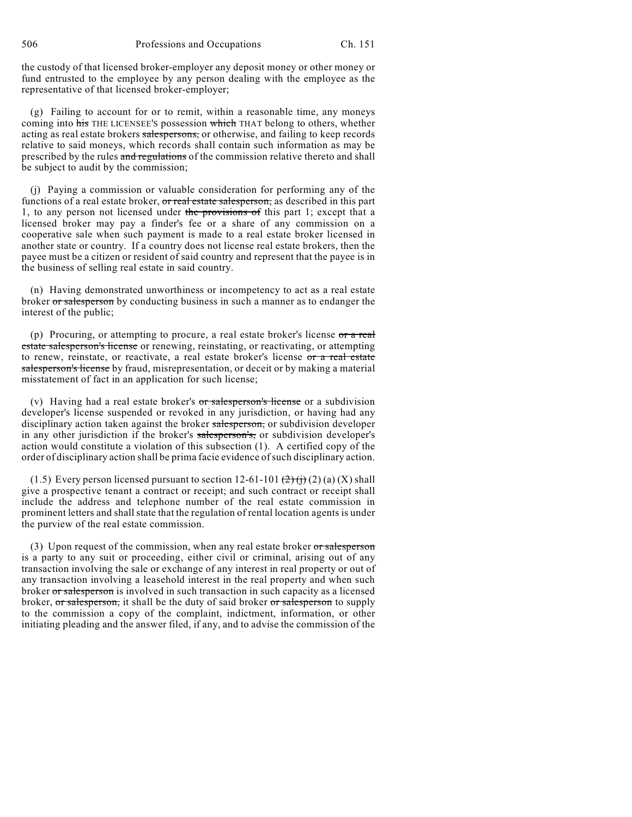the custody of that licensed broker-employer any deposit money or other money or fund entrusted to the employee by any person dealing with the employee as the representative of that licensed broker-employer;

(g) Failing to account for or to remit, within a reasonable time, any moneys coming into his THE LICENSEE'S possession which THAT belong to others, whether acting as real estate brokers salespersons, or otherwise, and failing to keep records relative to said moneys, which records shall contain such information as may be prescribed by the rules and regulations of the commission relative thereto and shall be subject to audit by the commission;

(j) Paying a commission or valuable consideration for performing any of the functions of a real estate broker, or real estate salesperson, as described in this part 1, to any person not licensed under the provisions of this part 1; except that a licensed broker may pay a finder's fee or a share of any commission on a cooperative sale when such payment is made to a real estate broker licensed in another state or country. If a country does not license real estate brokers, then the payee must be a citizen or resident of said country and represent that the payee is in the business of selling real estate in said country.

(n) Having demonstrated unworthiness or incompetency to act as a real estate broker or salesperson by conducting business in such a manner as to endanger the interest of the public;

(p) Procuring, or attempting to procure, a real estate broker's license  $\sigma r$  a real estate salesperson's license or renewing, reinstating, or reactivating, or attempting to renew, reinstate, or reactivate, a real estate broker's license or a real estate salesperson's license by fraud, misrepresentation, or deceit or by making a material misstatement of fact in an application for such license;

(v) Having had a real estate broker's or salesperson's license or a subdivision developer's license suspended or revoked in any jurisdiction, or having had any disciplinary action taken against the broker salesperson, or subdivision developer in any other jurisdiction if the broker's salesperson's, or subdivision developer's action would constitute a violation of this subsection (1). A certified copy of the order of disciplinary action shall be prima facie evidence of such disciplinary action.

(1.5) Every person licensed pursuant to section 12-61-101  $(2)(i)(2)(a)(X)$  shall give a prospective tenant a contract or receipt; and such contract or receipt shall include the address and telephone number of the real estate commission in prominent letters and shall state that the regulation of rental location agents is under the purview of the real estate commission.

(3) Upon request of the commission, when any real estate broker or salesperson is a party to any suit or proceeding, either civil or criminal, arising out of any transaction involving the sale or exchange of any interest in real property or out of any transaction involving a leasehold interest in the real property and when such broker or salesperson is involved in such transaction in such capacity as a licensed broker, or salesperson, it shall be the duty of said broker or salesperson to supply to the commission a copy of the complaint, indictment, information, or other initiating pleading and the answer filed, if any, and to advise the commission of the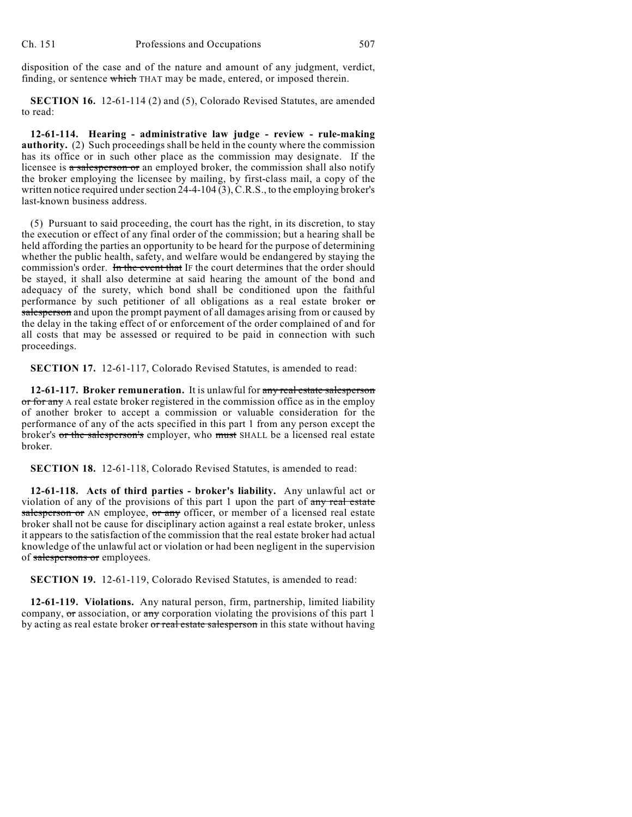disposition of the case and of the nature and amount of any judgment, verdict, finding, or sentence which THAT may be made, entered, or imposed therein.

**SECTION 16.** 12-61-114 (2) and (5), Colorado Revised Statutes, are amended to read:

**12-61-114. Hearing - administrative law judge - review - rule-making authority.** (2) Such proceedings shall be held in the county where the commission has its office or in such other place as the commission may designate. If the licensee is a salesperson or an employed broker, the commission shall also notify the broker employing the licensee by mailing, by first-class mail, a copy of the written notice required under section 24-4-104 (3), C.R.S., to the employing broker's last-known business address.

(5) Pursuant to said proceeding, the court has the right, in its discretion, to stay the execution or effect of any final order of the commission; but a hearing shall be held affording the parties an opportunity to be heard for the purpose of determining whether the public health, safety, and welfare would be endangered by staying the commission's order. In the event that IF the court determines that the order should be stayed, it shall also determine at said hearing the amount of the bond and adequacy of the surety, which bond shall be conditioned upon the faithful performance by such petitioner of all obligations as a real estate broker or salesperson and upon the prompt payment of all damages arising from or caused by the delay in the taking effect of or enforcement of the order complained of and for all costs that may be assessed or required to be paid in connection with such proceedings.

**SECTION 17.** 12-61-117, Colorado Revised Statutes, is amended to read:

**12-61-117. Broker remuneration.** It is unlawful for any real estate salesperson or for any A real estate broker registered in the commission office as in the employ of another broker to accept a commission or valuable consideration for the performance of any of the acts specified in this part 1 from any person except the broker's or the salesperson's employer, who must SHALL be a licensed real estate broker.

**SECTION 18.** 12-61-118, Colorado Revised Statutes, is amended to read:

**12-61-118. Acts of third parties - broker's liability.** Any unlawful act or violation of any of the provisions of this part 1 upon the part of any real estate salesperson or AN employee, or any officer, or member of a licensed real estate broker shall not be cause for disciplinary action against a real estate broker, unless it appears to the satisfaction of the commission that the real estate broker had actual knowledge of the unlawful act or violation or had been negligent in the supervision of salespersons or employees.

**SECTION 19.** 12-61-119, Colorado Revised Statutes, is amended to read:

**12-61-119. Violations.** Any natural person, firm, partnership, limited liability company,  $\sigma r$  association, or  $\frac{1}{2}$  corporation violating the provisions of this part 1 by acting as real estate broker or real estate salesperson in this state without having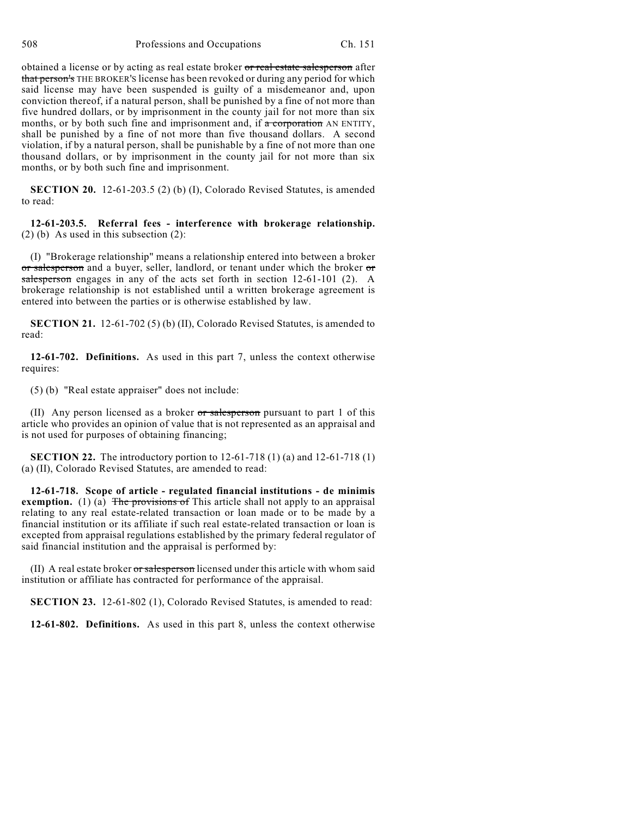obtained a license or by acting as real estate broker or real estate salesperson after that person's THE BROKER'S license has been revoked or during any period for which said license may have been suspended is guilty of a misdemeanor and, upon conviction thereof, if a natural person, shall be punished by a fine of not more than five hundred dollars, or by imprisonment in the county jail for not more than six months, or by both such fine and imprisonment and, if  $\alpha$  corporation AN ENTITY, shall be punished by a fine of not more than five thousand dollars. A second violation, if by a natural person, shall be punishable by a fine of not more than one thousand dollars, or by imprisonment in the county jail for not more than six months, or by both such fine and imprisonment.

**SECTION 20.** 12-61-203.5 (2) (b) (I), Colorado Revised Statutes, is amended to read:

**12-61-203.5. Referral fees - interference with brokerage relationship.** (2) (b) As used in this subsection (2):

(I) "Brokerage relationship" means a relationship entered into between a broker  $\sigma$ r salesperson and a buyer, seller, landlord, or tenant under which the broker  $\sigma$ r salesperson engages in any of the acts set forth in section 12-61-101 (2). A brokerage relationship is not established until a written brokerage agreement is entered into between the parties or is otherwise established by law.

**SECTION 21.** 12-61-702 (5) (b) (II), Colorado Revised Statutes, is amended to read:

**12-61-702. Definitions.** As used in this part 7, unless the context otherwise requires:

(5) (b) "Real estate appraiser" does not include:

(II) Any person licensed as a broker or salesperson pursuant to part 1 of this article who provides an opinion of value that is not represented as an appraisal and is not used for purposes of obtaining financing;

**SECTION 22.** The introductory portion to 12-61-718 (1) (a) and 12-61-718 (1) (a) (II), Colorado Revised Statutes, are amended to read:

**12-61-718. Scope of article - regulated financial institutions - de minimis exemption.** (1) (a)  $\overline{\text{The~provisions of}}$  This article shall not apply to an appraisal relating to any real estate-related transaction or loan made or to be made by a financial institution or its affiliate if such real estate-related transaction or loan is excepted from appraisal regulations established by the primary federal regulator of said financial institution and the appraisal is performed by:

(II) A real estate broker or salesperson licensed under this article with whom said institution or affiliate has contracted for performance of the appraisal.

**SECTION 23.** 12-61-802 (1), Colorado Revised Statutes, is amended to read:

**12-61-802. Definitions.** As used in this part 8, unless the context otherwise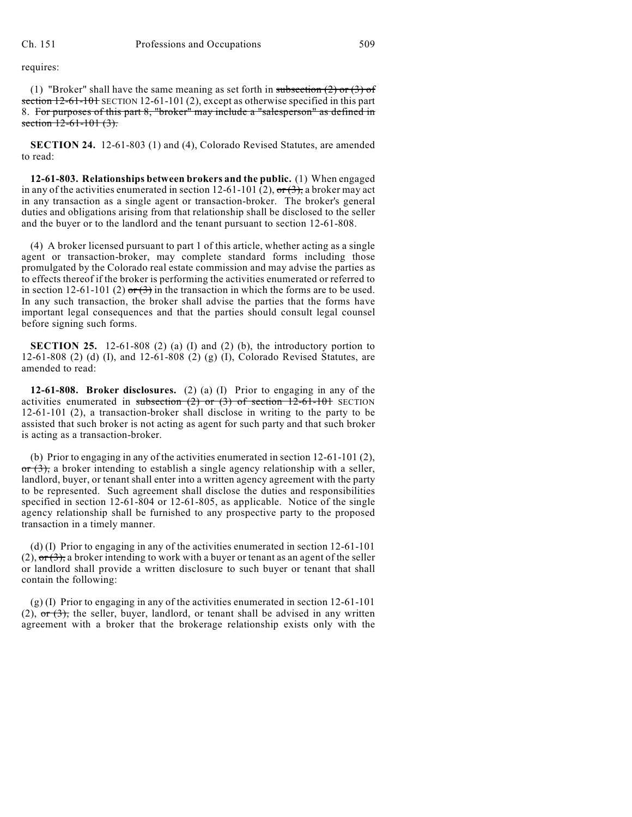requires:

(1) "Broker" shall have the same meaning as set forth in subsection  $(2)$  or  $(3)$  of section 12-61-101 SECTION 12-61-101 (2), except as otherwise specified in this part 8. For purposes of this part 8, "broker" may include a "salesperson" as defined in section 12-61-101 (3).

**SECTION 24.** 12-61-803 (1) and (4), Colorado Revised Statutes, are amended to read:

**12-61-803. Relationships between brokers and the public.** (1) When engaged in any of the activities enumerated in section 12-61-101 (2),  $\sigma$  (3), a broker may act in any transaction as a single agent or transaction-broker. The broker's general duties and obligations arising from that relationship shall be disclosed to the seller and the buyer or to the landlord and the tenant pursuant to section 12-61-808.

(4) A broker licensed pursuant to part 1 of this article, whether acting as a single agent or transaction-broker, may complete standard forms including those promulgated by the Colorado real estate commission and may advise the parties as to effects thereof if the broker is performing the activities enumerated or referred to in section 12-61-101 (2)  $\sigma$  (3) in the transaction in which the forms are to be used. In any such transaction, the broker shall advise the parties that the forms have important legal consequences and that the parties should consult legal counsel before signing such forms.

**SECTION 25.** 12-61-808 (2) (a) (I) and (2) (b), the introductory portion to 12-61-808 (2) (d) (I), and 12-61-808 (2) (g) (I), Colorado Revised Statutes, are amended to read:

**12-61-808. Broker disclosures.** (2) (a) (I) Prior to engaging in any of the activities enumerated in subsection  $(2)$  or  $(3)$  of section  $12-61-101$  SECTION 12-61-101 (2), a transaction-broker shall disclose in writing to the party to be assisted that such broker is not acting as agent for such party and that such broker is acting as a transaction-broker.

(b) Prior to engaging in any of the activities enumerated in section 12-61-101 (2),  $\sigma$   $\tau$  (3), a broker intending to establish a single agency relationship with a seller, landlord, buyer, or tenant shall enter into a written agency agreement with the party to be represented. Such agreement shall disclose the duties and responsibilities specified in section 12-61-804 or 12-61-805, as applicable. Notice of the single agency relationship shall be furnished to any prospective party to the proposed transaction in a timely manner.

(d) (I) Prior to engaging in any of the activities enumerated in section 12-61-101  $(2)$ , or  $(3)$ , a broker intending to work with a buyer or tenant as an agent of the seller or landlord shall provide a written disclosure to such buyer or tenant that shall contain the following:

 $(g)$  (I) Prior to engaging in any of the activities enumerated in section 12-61-101 (2),  $\sigma$  (3), the seller, buyer, landlord, or tenant shall be advised in any written agreement with a broker that the brokerage relationship exists only with the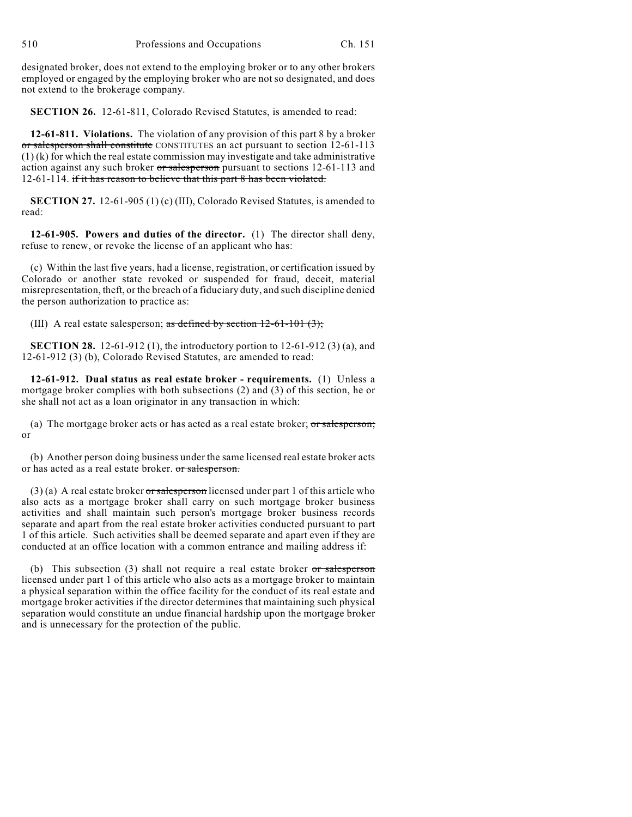designated broker, does not extend to the employing broker or to any other brokers employed or engaged by the employing broker who are not so designated, and does not extend to the brokerage company.

**SECTION 26.** 12-61-811, Colorado Revised Statutes, is amended to read:

**12-61-811. Violations.** The violation of any provision of this part 8 by a broker or salesperson shall constitute CONSTITUTES an act pursuant to section 12-61-113  $(1)$  (k) for which the real estate commission may investigate and take administrative action against any such broker or salesperson pursuant to sections 12-61-113 and 12-61-114. if it has reason to believe that this part 8 has been violated.

**SECTION 27.** 12-61-905 (1) (c) (III), Colorado Revised Statutes, is amended to read:

**12-61-905. Powers and duties of the director.** (1) The director shall deny, refuse to renew, or revoke the license of an applicant who has:

(c) Within the last five years, had a license, registration, or certification issued by Colorado or another state revoked or suspended for fraud, deceit, material misrepresentation, theft, or the breach of a fiduciary duty, and such discipline denied the person authorization to practice as:

(III) A real estate salesperson; as defined by section  $12-61-101$  (3);

**SECTION 28.** 12-61-912 (1), the introductory portion to 12-61-912 (3) (a), and 12-61-912 (3) (b), Colorado Revised Statutes, are amended to read:

**12-61-912. Dual status as real estate broker - requirements.** (1) Unless a mortgage broker complies with both subsections (2) and (3) of this section, he or she shall not act as a loan originator in any transaction in which:

(a) The mortgage broker acts or has acted as a real estate broker; or salesperson; or

(b) Another person doing business under the same licensed real estate broker acts or has acted as a real estate broker. or salesperson.

 $(3)$  (a) A real estate broker or salesperson licensed under part 1 of this article who also acts as a mortgage broker shall carry on such mortgage broker business activities and shall maintain such person's mortgage broker business records separate and apart from the real estate broker activities conducted pursuant to part 1 of this article. Such activities shall be deemed separate and apart even if they are conducted at an office location with a common entrance and mailing address if:

(b) This subsection  $(3)$  shall not require a real estate broker or salesperson licensed under part 1 of this article who also acts as a mortgage broker to maintain a physical separation within the office facility for the conduct of its real estate and mortgage broker activities if the director determines that maintaining such physical separation would constitute an undue financial hardship upon the mortgage broker and is unnecessary for the protection of the public.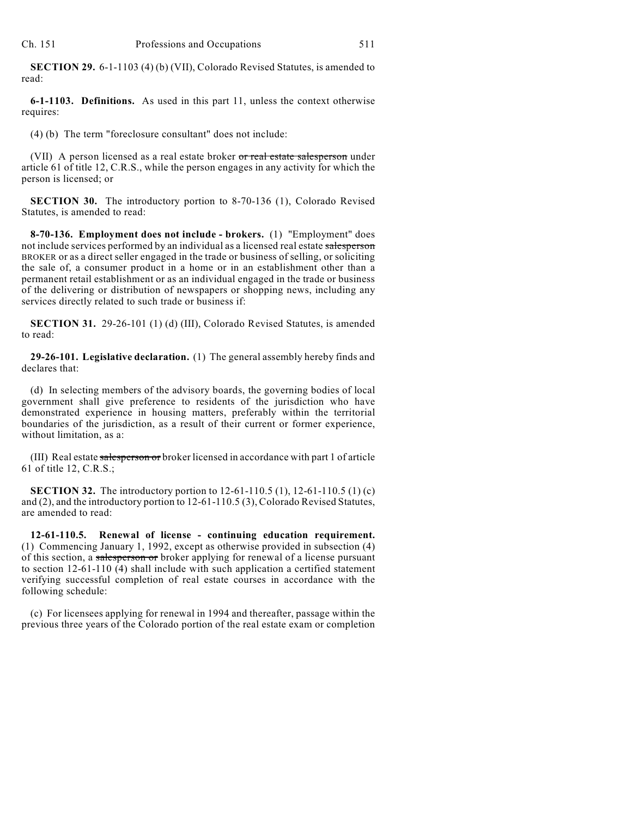**SECTION 29.** 6-1-1103 (4) (b) (VII), Colorado Revised Statutes, is amended to read:

**6-1-1103. Definitions.** As used in this part 11, unless the context otherwise requires:

(4) (b) The term "foreclosure consultant" does not include:

(VII) A person licensed as a real estate broker or real estate salesperson under article 61 of title 12, C.R.S., while the person engages in any activity for which the person is licensed; or

**SECTION 30.** The introductory portion to 8-70-136 (1), Colorado Revised Statutes, is amended to read:

**8-70-136. Employment does not include - brokers.** (1) "Employment" does not include services performed by an individual as a licensed real estate salesperson BROKER or as a direct seller engaged in the trade or business of selling, or soliciting the sale of, a consumer product in a home or in an establishment other than a permanent retail establishment or as an individual engaged in the trade or business of the delivering or distribution of newspapers or shopping news, including any services directly related to such trade or business if:

**SECTION 31.** 29-26-101 (1) (d) (III), Colorado Revised Statutes, is amended to read:

**29-26-101. Legislative declaration.** (1) The general assembly hereby finds and declares that:

(d) In selecting members of the advisory boards, the governing bodies of local government shall give preference to residents of the jurisdiction who have demonstrated experience in housing matters, preferably within the territorial boundaries of the jurisdiction, as a result of their current or former experience, without limitation, as a:

(III) Real estate salesperson or broker licensed in accordance with part 1 of article 61 of title 12, C.R.S.;

**SECTION 32.** The introductory portion to 12-61-110.5 (1), 12-61-110.5 (1) (c) and (2), and the introductory portion to 12-61-110.5 (3), Colorado Revised Statutes, are amended to read:

**12-61-110.5. Renewal of license - continuing education requirement.** (1) Commencing January 1, 1992, except as otherwise provided in subsection (4) of this section, a salesperson or broker applying for renewal of a license pursuant to section 12-61-110 (4) shall include with such application a certified statement verifying successful completion of real estate courses in accordance with the following schedule:

(c) For licensees applying for renewal in 1994 and thereafter, passage within the previous three years of the Colorado portion of the real estate exam or completion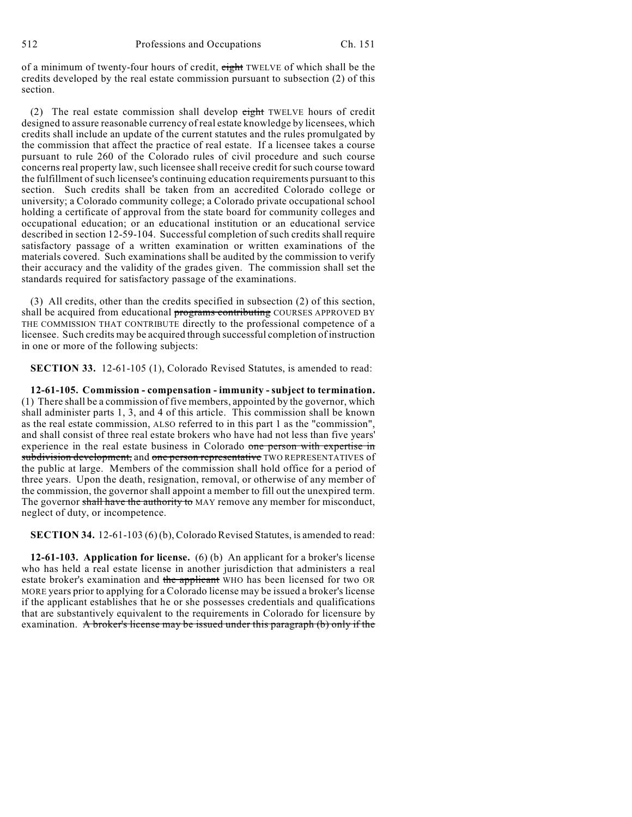of a minimum of twenty-four hours of credit, eight TWELVE of which shall be the credits developed by the real estate commission pursuant to subsection (2) of this section.

(2) The real estate commission shall develop eight TWELVE hours of credit designed to assure reasonable currency of real estate knowledge by licensees, which credits shall include an update of the current statutes and the rules promulgated by the commission that affect the practice of real estate. If a licensee takes a course pursuant to rule 260 of the Colorado rules of civil procedure and such course concerns real property law, such licensee shall receive credit for such course toward the fulfillment of such licensee's continuing education requirements pursuant to this section. Such credits shall be taken from an accredited Colorado college or university; a Colorado community college; a Colorado private occupational school holding a certificate of approval from the state board for community colleges and occupational education; or an educational institution or an educational service described in section 12-59-104. Successful completion of such credits shall require satisfactory passage of a written examination or written examinations of the materials covered. Such examinations shall be audited by the commission to verify their accuracy and the validity of the grades given. The commission shall set the standards required for satisfactory passage of the examinations.

(3) All credits, other than the credits specified in subsection (2) of this section, shall be acquired from educational programs contributing COURSES APPROVED BY THE COMMISSION THAT CONTRIBUTE directly to the professional competence of a licensee. Such credits may be acquired through successful completion of instruction in one or more of the following subjects:

**SECTION 33.** 12-61-105 (1), Colorado Revised Statutes, is amended to read:

**12-61-105. Commission - compensation - immunity - subject to termination.** (1) There shall be a commission of five members, appointed by the governor, which shall administer parts 1, 3, and 4 of this article. This commission shall be known as the real estate commission, ALSO referred to in this part 1 as the "commission", and shall consist of three real estate brokers who have had not less than five years' experience in the real estate business in Colorado one person with expertise in subdivision development, and one person representative TWO REPRESENTATIVES of the public at large. Members of the commission shall hold office for a period of three years. Upon the death, resignation, removal, or otherwise of any member of the commission, the governor shall appoint a member to fill out the unexpired term. The governor shall have the authority to MAY remove any member for misconduct, neglect of duty, or incompetence.

**SECTION 34.** 12-61-103 (6) (b), Colorado Revised Statutes, is amended to read:

**12-61-103. Application for license.** (6) (b) An applicant for a broker's license who has held a real estate license in another jurisdiction that administers a real estate broker's examination and the applicant WHO has been licensed for two OR MORE years prior to applying for a Colorado license may be issued a broker's license if the applicant establishes that he or she possesses credentials and qualifications that are substantively equivalent to the requirements in Colorado for licensure by examination. A broker's license may be issued under this paragraph (b) only if the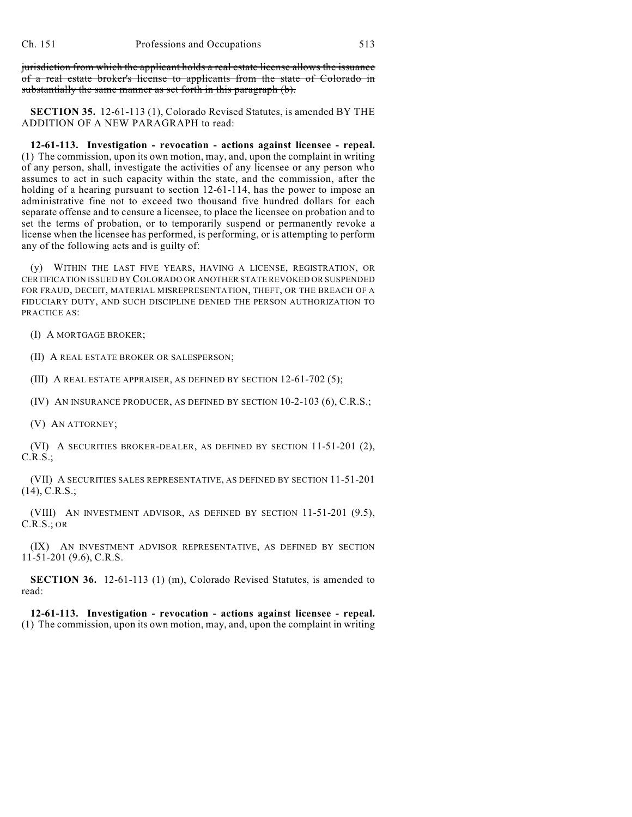jurisdiction from which the applicant holds a real estate license allows the issuance of a real estate broker's license to applicants from the state of Colorado in substantially the same manner as set forth in this paragraph (b).

**SECTION 35.** 12-61-113 (1), Colorado Revised Statutes, is amended BY THE ADDITION OF A NEW PARAGRAPH to read:

**12-61-113. Investigation - revocation - actions against licensee - repeal.** (1) The commission, upon its own motion, may, and, upon the complaint in writing of any person, shall, investigate the activities of any licensee or any person who assumes to act in such capacity within the state, and the commission, after the holding of a hearing pursuant to section 12-61-114, has the power to impose an administrative fine not to exceed two thousand five hundred dollars for each separate offense and to censure a licensee, to place the licensee on probation and to set the terms of probation, or to temporarily suspend or permanently revoke a license when the licensee has performed, is performing, or is attempting to perform any of the following acts and is guilty of:

(y) WITHIN THE LAST FIVE YEARS, HAVING A LICENSE, REGISTRATION, OR CERTIFICATION ISSUED BY COLORADO OR ANOTHER STATE REVOKED OR SUSPENDED FOR FRAUD, DECEIT, MATERIAL MISREPRESENTATION, THEFT, OR THE BREACH OF A FIDUCIARY DUTY, AND SUCH DISCIPLINE DENIED THE PERSON AUTHORIZATION TO PRACTICE AS:

(I) A MORTGAGE BROKER;

(II) A REAL ESTATE BROKER OR SALESPERSON;

(III) A REAL ESTATE APPRAISER, AS DEFINED BY SECTION 12-61-702 (5);

(IV) AN INSURANCE PRODUCER, AS DEFINED BY SECTION 10-2-103 (6), C.R.S.;

(V) AN ATTORNEY;

(VI) A SECURITIES BROKER-DEALER, AS DEFINED BY SECTION 11-51-201 (2), C.R.S.;

(VII) A SECURITIES SALES REPRESENTATIVE, AS DEFINED BY SECTION 11-51-201 (14), C.R.S.;

(VIII) AN INVESTMENT ADVISOR, AS DEFINED BY SECTION 11-51-201 (9.5), C.R.S.; OR

(IX) AN INVESTMENT ADVISOR REPRESENTATIVE, AS DEFINED BY SECTION 11-51-201 (9.6), C.R.S.

**SECTION 36.** 12-61-113 (1) (m), Colorado Revised Statutes, is amended to read:

**12-61-113. Investigation - revocation - actions against licensee - repeal.** (1) The commission, upon its own motion, may, and, upon the complaint in writing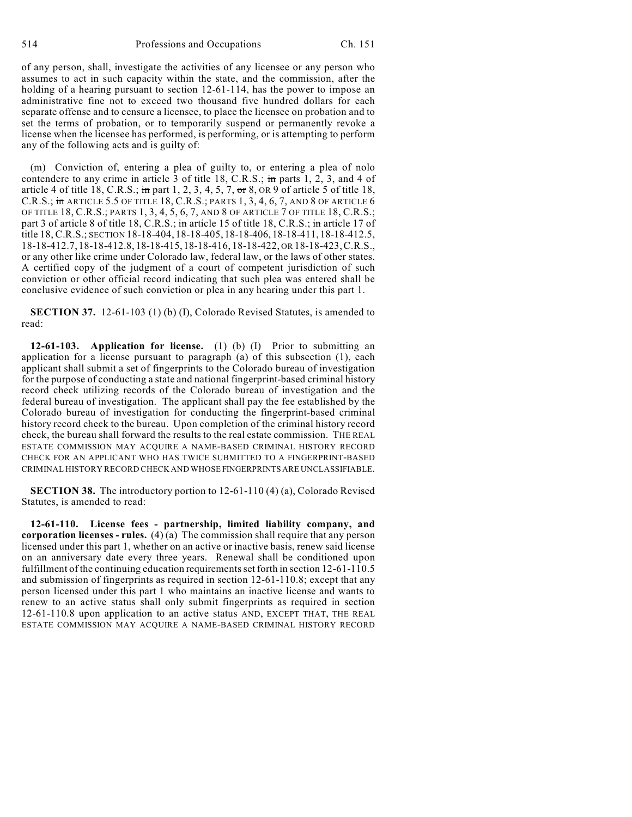of any person, shall, investigate the activities of any licensee or any person who assumes to act in such capacity within the state, and the commission, after the holding of a hearing pursuant to section 12-61-114, has the power to impose an administrative fine not to exceed two thousand five hundred dollars for each separate offense and to censure a licensee, to place the licensee on probation and to set the terms of probation, or to temporarily suspend or permanently revoke a license when the licensee has performed, is performing, or is attempting to perform any of the following acts and is guilty of:

(m) Conviction of, entering a plea of guilty to, or entering a plea of nolo contendere to any crime in article 3 of title 18, C.R.S.; in parts 1, 2, 3, and 4 of article 4 of title 18, C.R.S.; in part 1, 2, 3, 4, 5, 7,  $\sigma$  and 8, or 9 of article 5 of title 18, C.R.S.;  $\frac{1}{2}$  in ARTICLE 5.5 OF TITLE 18, C.R.S.; PARTS 1, 3, 4, 6, 7, AND 8 OF ARTICLE 6 OF TITLE 18, C.R.S.; PARTS 1, 3, 4, 5, 6, 7, AND 8 OF ARTICLE 7 OF TITLE 18, C.R.S.; part 3 of article 8 of title 18, C.R.S.; in article 15 of title 18, C.R.S.; in article 17 of title 18, C.R.S.; SECTION 18-18-404, 18-18-405,18-18-406,18-18-411,18-18-412.5, 18-18-412.7, 18-18-412.8, 18-18-415,18-18-416, 18-18-422, OR 18-18-423,C.R.S., or any other like crime under Colorado law, federal law, or the laws of other states. A certified copy of the judgment of a court of competent jurisdiction of such conviction or other official record indicating that such plea was entered shall be conclusive evidence of such conviction or plea in any hearing under this part 1.

**SECTION 37.** 12-61-103 (1) (b) (I), Colorado Revised Statutes, is amended to read:

**12-61-103. Application for license.** (1) (b) (I) Prior to submitting an application for a license pursuant to paragraph (a) of this subsection (1), each applicant shall submit a set of fingerprints to the Colorado bureau of investigation for the purpose of conducting a state and national fingerprint-based criminal history record check utilizing records of the Colorado bureau of investigation and the federal bureau of investigation. The applicant shall pay the fee established by the Colorado bureau of investigation for conducting the fingerprint-based criminal history record check to the bureau. Upon completion of the criminal history record check, the bureau shall forward the results to the real estate commission. THE REAL ESTATE COMMISSION MAY ACQUIRE A NAME-BASED CRIMINAL HISTORY RECORD CHECK FOR AN APPLICANT WHO HAS TWICE SUBMITTED TO A FINGERPRINT-BASED CRIMINAL HISTORY RECORD CHECK AND WHOSE FINGERPRINTS ARE UNCLASSIFIABLE.

**SECTION 38.** The introductory portion to 12-61-110 (4) (a), Colorado Revised Statutes, is amended to read:

**12-61-110. License fees - partnership, limited liability company, and corporation licenses - rules.** (4) (a) The commission shall require that any person licensed under this part 1, whether on an active or inactive basis, renew said license on an anniversary date every three years. Renewal shall be conditioned upon fulfillment of the continuing education requirements set forth in section 12-61-110.5 and submission of fingerprints as required in section 12-61-110.8; except that any person licensed under this part 1 who maintains an inactive license and wants to renew to an active status shall only submit fingerprints as required in section 12-61-110.8 upon application to an active status AND, EXCEPT THAT, THE REAL ESTATE COMMISSION MAY ACQUIRE A NAME-BASED CRIMINAL HISTORY RECORD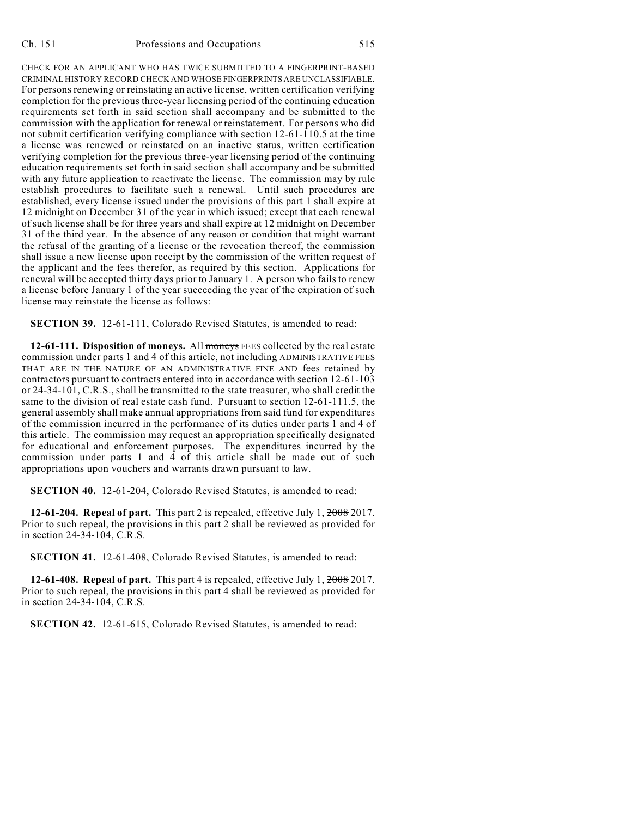CHECK FOR AN APPLICANT WHO HAS TWICE SUBMITTED TO A FINGERPRINT-BASED CRIMINAL HISTORY RECORD CHECK AND WHOSE FINGERPRINTS ARE UNCLASSIFIABLE. For persons renewing or reinstating an active license, written certification verifying completion for the previous three-year licensing period of the continuing education requirements set forth in said section shall accompany and be submitted to the commission with the application for renewal or reinstatement. For persons who did not submit certification verifying compliance with section 12-61-110.5 at the time a license was renewed or reinstated on an inactive status, written certification verifying completion for the previous three-year licensing period of the continuing education requirements set forth in said section shall accompany and be submitted with any future application to reactivate the license. The commission may by rule establish procedures to facilitate such a renewal. Until such procedures are established, every license issued under the provisions of this part 1 shall expire at 12 midnight on December 31 of the year in which issued; except that each renewal of such license shall be for three years and shall expire at 12 midnight on December 31 of the third year. In the absence of any reason or condition that might warrant the refusal of the granting of a license or the revocation thereof, the commission shall issue a new license upon receipt by the commission of the written request of the applicant and the fees therefor, as required by this section. Applications for renewal will be accepted thirty days prior to January 1. A person who fails to renew a license before January 1 of the year succeeding the year of the expiration of such license may reinstate the license as follows:

**SECTION 39.** 12-61-111, Colorado Revised Statutes, is amended to read:

**12-61-111. Disposition of moneys.** All moneys FEES collected by the real estate commission under parts 1 and 4 of this article, not including ADMINISTRATIVE FEES THAT ARE IN THE NATURE OF AN ADMINISTRATIVE FINE AND fees retained by contractors pursuant to contracts entered into in accordance with section 12-61-103 or 24-34-101, C.R.S., shall be transmitted to the state treasurer, who shall credit the same to the division of real estate cash fund. Pursuant to section 12-61-111.5, the general assembly shall make annual appropriations from said fund for expenditures of the commission incurred in the performance of its duties under parts 1 and 4 of this article. The commission may request an appropriation specifically designated for educational and enforcement purposes. The expenditures incurred by the commission under parts 1 and  $\overline{4}$  of this article shall be made out of such appropriations upon vouchers and warrants drawn pursuant to law.

**SECTION 40.** 12-61-204, Colorado Revised Statutes, is amended to read:

**12-61-204. Repeal of part.** This part 2 is repealed, effective July 1, 2008 2017. Prior to such repeal, the provisions in this part 2 shall be reviewed as provided for in section 24-34-104, C.R.S.

**SECTION 41.** 12-61-408, Colorado Revised Statutes, is amended to read:

**12-61-408. Repeal of part.** This part 4 is repealed, effective July 1, 2008 2017. Prior to such repeal, the provisions in this part 4 shall be reviewed as provided for in section 24-34-104, C.R.S.

**SECTION 42.** 12-61-615, Colorado Revised Statutes, is amended to read: